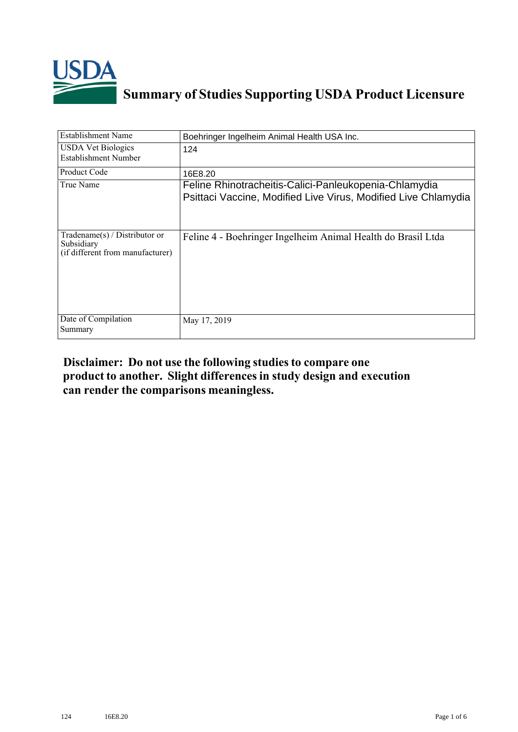

## **Summary of Studies Supporting USDA Product Licensure**

| <b>Establishment Name</b>                                                          | Boehringer Ingelheim Animal Health USA Inc.                                                                             |
|------------------------------------------------------------------------------------|-------------------------------------------------------------------------------------------------------------------------|
| <b>USDA Vet Biologics</b><br>Establishment Number                                  | 124                                                                                                                     |
| Product Code                                                                       | 16E8.20                                                                                                                 |
| True Name                                                                          | Feline Rhinotracheitis-Calici-Panleukopenia-Chlamydia<br>Psittaci Vaccine, Modified Live Virus, Modified Live Chlamydia |
| Tradename $(s)$ / Distributor or<br>Subsidiary<br>(if different from manufacturer) | Feline 4 - Boehringer Ingelheim Animal Health do Brasil Ltda                                                            |
| Date of Compilation<br>Summary                                                     | May 17, 2019                                                                                                            |

## **Disclaimer: Do not use the following studiesto compare one product to another. Slight differencesin study design and execution can render the comparisons meaningless.**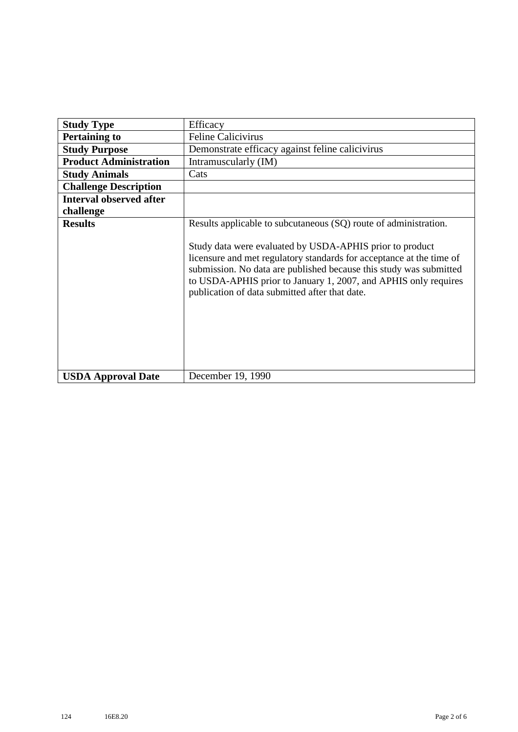| <b>Study Type</b>              | Efficacy                                                                                                                                                                                                                                                                                                                                                                                        |
|--------------------------------|-------------------------------------------------------------------------------------------------------------------------------------------------------------------------------------------------------------------------------------------------------------------------------------------------------------------------------------------------------------------------------------------------|
| <b>Pertaining to</b>           | <b>Feline Calicivirus</b>                                                                                                                                                                                                                                                                                                                                                                       |
| <b>Study Purpose</b>           | Demonstrate efficacy against feline calicivirus                                                                                                                                                                                                                                                                                                                                                 |
| <b>Product Administration</b>  | Intramuscularly (IM)                                                                                                                                                                                                                                                                                                                                                                            |
| <b>Study Animals</b>           | Cats                                                                                                                                                                                                                                                                                                                                                                                            |
| <b>Challenge Description</b>   |                                                                                                                                                                                                                                                                                                                                                                                                 |
| <b>Interval observed after</b> |                                                                                                                                                                                                                                                                                                                                                                                                 |
| challenge                      |                                                                                                                                                                                                                                                                                                                                                                                                 |
| <b>Results</b>                 | Results applicable to subcutaneous (SQ) route of administration.<br>Study data were evaluated by USDA-APHIS prior to product<br>licensure and met regulatory standards for acceptance at the time of<br>submission. No data are published because this study was submitted<br>to USDA-APHIS prior to January 1, 2007, and APHIS only requires<br>publication of data submitted after that date. |
| <b>USDA Approval Date</b>      | December 19, 1990                                                                                                                                                                                                                                                                                                                                                                               |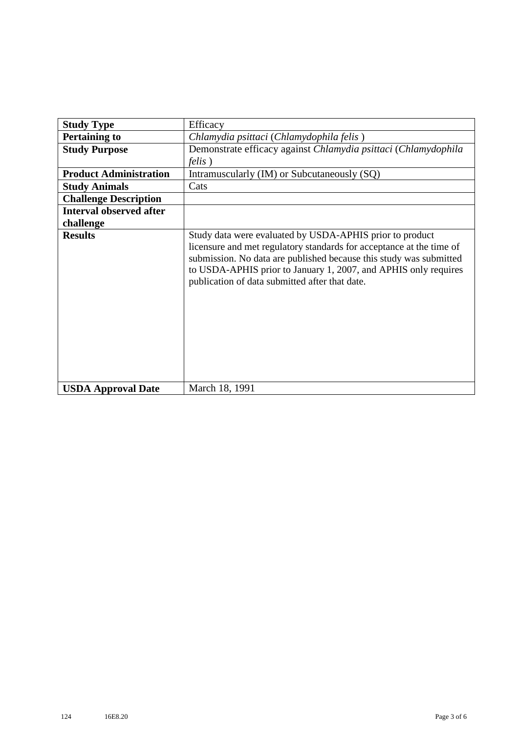| <b>Study Type</b>              | Efficacy                                                                                                                                                                                                                                                                                                                    |
|--------------------------------|-----------------------------------------------------------------------------------------------------------------------------------------------------------------------------------------------------------------------------------------------------------------------------------------------------------------------------|
| <b>Pertaining to</b>           | Chlamydia psittaci (Chlamydophila felis)                                                                                                                                                                                                                                                                                    |
| <b>Study Purpose</b>           | Demonstrate efficacy against Chlamydia psittaci (Chlamydophila                                                                                                                                                                                                                                                              |
|                                | <i>felis</i> )                                                                                                                                                                                                                                                                                                              |
| <b>Product Administration</b>  | Intramuscularly (IM) or Subcutaneously (SQ)                                                                                                                                                                                                                                                                                 |
| <b>Study Animals</b>           | Cats                                                                                                                                                                                                                                                                                                                        |
| <b>Challenge Description</b>   |                                                                                                                                                                                                                                                                                                                             |
| <b>Interval observed after</b> |                                                                                                                                                                                                                                                                                                                             |
| challenge                      |                                                                                                                                                                                                                                                                                                                             |
| <b>Results</b>                 | Study data were evaluated by USDA-APHIS prior to product<br>licensure and met regulatory standards for acceptance at the time of<br>submission. No data are published because this study was submitted<br>to USDA-APHIS prior to January 1, 2007, and APHIS only requires<br>publication of data submitted after that date. |
| <b>USDA Approval Date</b>      | March 18, 1991                                                                                                                                                                                                                                                                                                              |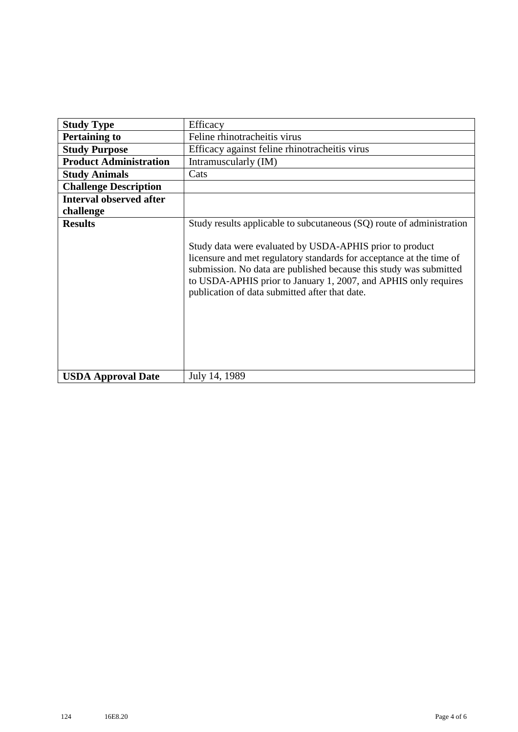| <b>Study Type</b>              | Efficacy                                                                                                                                                                                                                                                                                                                                                                                             |
|--------------------------------|------------------------------------------------------------------------------------------------------------------------------------------------------------------------------------------------------------------------------------------------------------------------------------------------------------------------------------------------------------------------------------------------------|
| <b>Pertaining to</b>           | Feline rhinotracheitis virus                                                                                                                                                                                                                                                                                                                                                                         |
| <b>Study Purpose</b>           | Efficacy against feline rhinotracheitis virus                                                                                                                                                                                                                                                                                                                                                        |
| <b>Product Administration</b>  | Intramuscularly (IM)                                                                                                                                                                                                                                                                                                                                                                                 |
| <b>Study Animals</b>           | Cats                                                                                                                                                                                                                                                                                                                                                                                                 |
| <b>Challenge Description</b>   |                                                                                                                                                                                                                                                                                                                                                                                                      |
| <b>Interval observed after</b> |                                                                                                                                                                                                                                                                                                                                                                                                      |
| challenge                      |                                                                                                                                                                                                                                                                                                                                                                                                      |
| <b>Results</b>                 | Study results applicable to subcutaneous (SQ) route of administration<br>Study data were evaluated by USDA-APHIS prior to product<br>licensure and met regulatory standards for acceptance at the time of<br>submission. No data are published because this study was submitted<br>to USDA-APHIS prior to January 1, 2007, and APHIS only requires<br>publication of data submitted after that date. |
| <b>USDA Approval Date</b>      | July 14, 1989                                                                                                                                                                                                                                                                                                                                                                                        |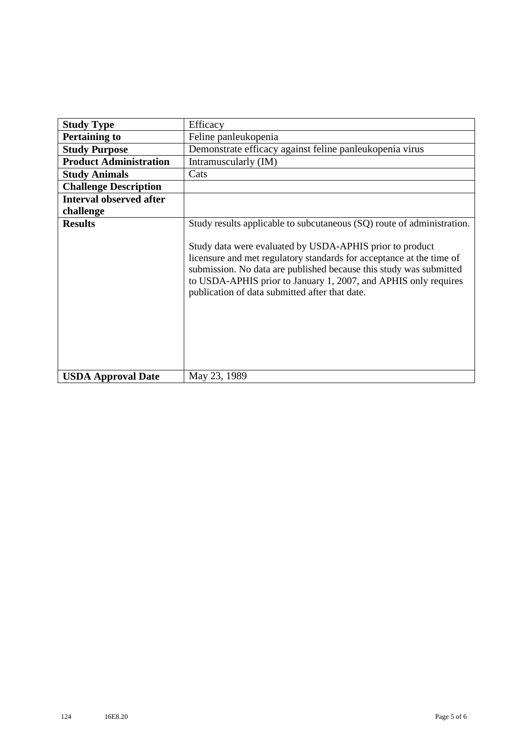| <b>Study Type</b>              | Efficacy                                                                                                                                                                                                                                                                                                                                                                                              |
|--------------------------------|-------------------------------------------------------------------------------------------------------------------------------------------------------------------------------------------------------------------------------------------------------------------------------------------------------------------------------------------------------------------------------------------------------|
| <b>Pertaining to</b>           | Feline panleukopenia                                                                                                                                                                                                                                                                                                                                                                                  |
| <b>Study Purpose</b>           | Demonstrate efficacy against feline panleukopenia virus                                                                                                                                                                                                                                                                                                                                               |
| <b>Product Administration</b>  | Intramuscularly (IM)                                                                                                                                                                                                                                                                                                                                                                                  |
| <b>Study Animals</b>           | Cats                                                                                                                                                                                                                                                                                                                                                                                                  |
| <b>Challenge Description</b>   |                                                                                                                                                                                                                                                                                                                                                                                                       |
| <b>Interval observed after</b> |                                                                                                                                                                                                                                                                                                                                                                                                       |
| challenge                      |                                                                                                                                                                                                                                                                                                                                                                                                       |
| <b>Results</b>                 | Study results applicable to subcutaneous (SQ) route of administration.<br>Study data were evaluated by USDA-APHIS prior to product<br>licensure and met regulatory standards for acceptance at the time of<br>submission. No data are published because this study was submitted<br>to USDA-APHIS prior to January 1, 2007, and APHIS only requires<br>publication of data submitted after that date. |
| <b>USDA Approval Date</b>      | May 23, 1989                                                                                                                                                                                                                                                                                                                                                                                          |